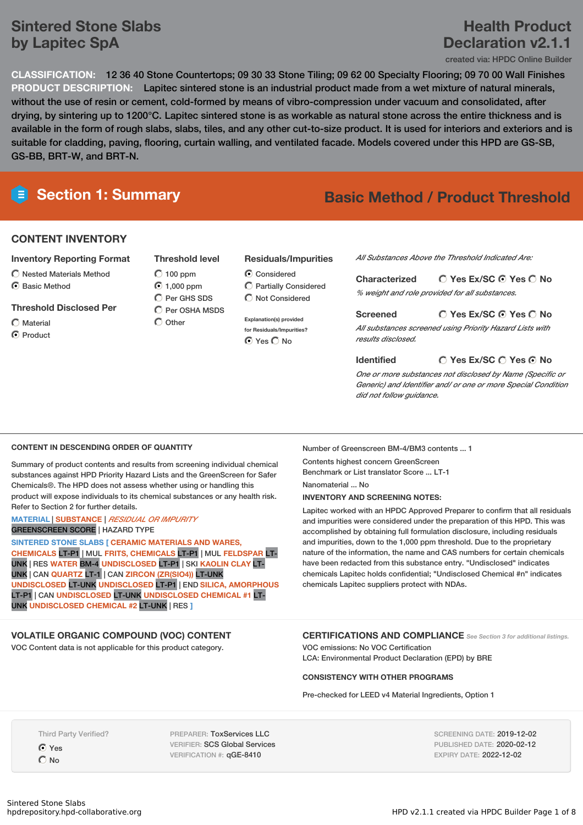# **Sintered Stone Slabs by Lapitec SpA**

# **Health Product Declaration v2.1.1**

created via: HPDC Online Builder

**CLASSIFICATION:** 12 36 40 Stone Countertops; 09 30 33 Stone Tiling; 09 62 00 Specialty Flooring; 09 70 00 Wall Finishes **PRODUCT DESCRIPTION:** Lapitec sintered stone is an industrial product made from a wet mixture of natural minerals, without the use of resin or cement, cold-formed by means of vibro-compression under vacuum and consolidated, after drying, by sintering up to 1200°C. Lapitec sintered stone is as workable as natural stone across the entire thickness and is available in the form of rough slabs, slabs, tiles, and any other cut-to-size product. It is used for interiors and exteriors and is suitable for cladding, paving, flooring, curtain walling, and ventilated facade. Models covered under this HPD are GS-SB, GS-BB, BRT-W, and BRT-N.

# **Section 1: Summary Basic Method / Product Threshold**

# **CONTENT INVENTORY**

## **Inventory Reporting Format**

- $\bigcirc$  Nested Materials Method
- C Basic Method

# **Threshold Disclosed Per**

Material C Product

- **Threshold level**  $O$  100 ppm 1,000 ppm C Per GHS SDS  $\bigcap$  Per OSHA MSDS
- $\bigcap$  Other

## **Residuals/Impurities**

Considered Partially Considered  $\bigcap$  Not Considered

**Explanation(s) provided for Residuals/Impurities?** ⊙ Yes O No

*All Substances Above the Threshold Indicated Are:*

# **Yes Ex/SC Yes No Characterized**

*% weight and role provided for all substances.*

## **Yes Ex/SC Yes No**

*All substances screened using Priority Hazard Lists with results disclosed.*

#### **Yes Ex/SC Yes No Identified**

*One or more substances not disclosed by Name (Specific or Generic) and Identifier and/ or one or more Special Condition did not follow guidance.*

### **CONTENT IN DESCENDING ORDER OF QUANTITY**

Summary of product contents and results from screening individual chemical substances against HPD Priority Hazard Lists and the GreenScreen for Safer Chemicals®. The HPD does not assess whether using or handling this product will expose individuals to its chemical substances or any health risk. Refer to Section 2 for further details.

#### **MATERIAL** | **SUBSTANCE** | *RESIDUAL OR IMPURITY* GREENSCREEN SCORE | HAZARD TYPE

**SINTERED STONE SLABS [ CERAMIC MATERIALS AND WARES, CHEMICALS** LT-P1 | MUL **FRITS, CHEMICALS** LT-P1 | MUL **FELDSPAR** LT-UNK | RES **WATER** BM-4 **UNDISCLOSED** LT-P1 | SKI **KAOLIN CLAY** LT-UNK | CAN **QUARTZ** LT-1 | CAN **ZIRCON (ZR(SIO4))** LT-UNK **UNDISCLOSED** LT-UNK **UNDISCLOSED** LT-P1 | END **SILICA, AMORPHOUS** LT-P1 | CAN **UNDISCLOSED** LT-UNK **UNDISCLOSED CHEMICAL #1** LT-UNK **UNDISCLOSED CHEMICAL #2** LT-UNK | RES **]**

## **VOLATILE ORGANIC COMPOUND (VOC) CONTENT**

VOC Content data is not applicable for this product category.

Number of Greenscreen BM-4/BM3 contents ... 1 Contents highest concern GreenScreen

Benchmark or List translator Score ... LT-1

**Screened**

Nanomaterial ... No **INVENTORY AND SCREENING NOTES:**

Lapitec worked with an HPDC Approved Preparer to confirm that all residuals and impurities were considered under the preparation of this HPD. This was accomplished by obtaining full formulation disclosure, including residuals and impurities, down to the 1,000 ppm threshold. Due to the proprietary nature of the information, the name and CAS numbers for certain chemicals have been redacted from this substance entry. "Undisclosed" indicates chemicals Lapitec holds confidential; "Undisclosed Chemical #n" indicates chemicals Lapitec suppliers protect with NDAs.

# **CERTIFICATIONS AND COMPLIANCE** *See Section <sup>3</sup> for additional listings.*

VOC emissions: No VOC Certification LCA: Environmental Product Declaration (EPD) by BRE

#### **CONSISTENCY WITH OTHER PROGRAMS**

Pre-checked for LEED v4 Material Ingredients, Option 1

Third Party Verified?

Yes  $O$  No

PREPARER: ToxServices LLC VERIFIER: SCS Global Services VERIFICATION #: qGE-8410

SCREENING DATE: 2019-12-02 PUBLISHED DATE: 2020-02-12 EXPIRY DATE: 2022-12-02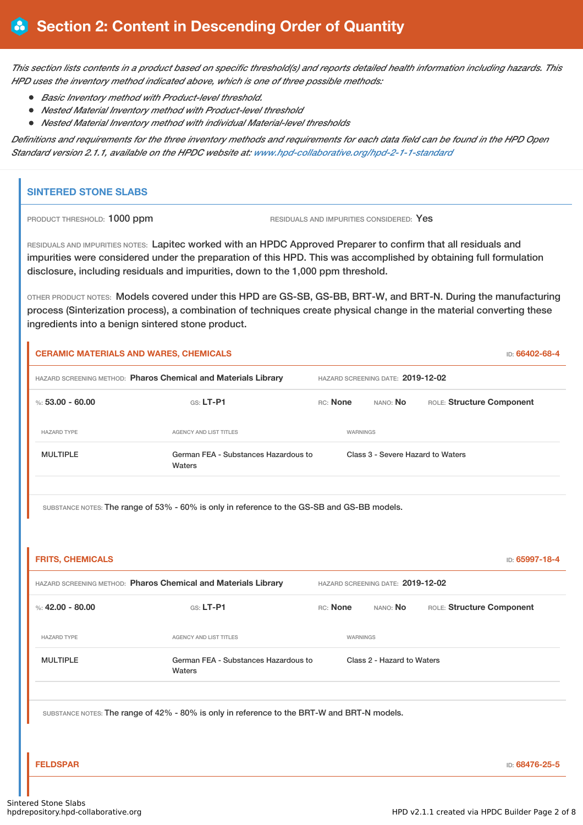This section lists contents in a product based on specific threshold(s) and reports detailed health information including hazards. This *HPD uses the inventory method indicated above, which is one of three possible methods:*

- *Basic Inventory method with Product-level threshold.*
- *Nested Material Inventory method with Product-level threshold*
- *Nested Material Inventory method with individual Material-level thresholds*

Definitions and requirements for the three inventory methods and requirements for each data field can be found in the HPD Open *Standard version 2.1.1, available on the HPDC website at: www.hpd-collaborative.org/hpd-2-1-1-standard*

# **SINTERED STONE SLABS**

PRODUCT THRESHOLD: 1000 ppm RESIDUALS AND IMPURITIES CONSIDERED: Yes

RESIDUALS AND IMPURITIES NOTES: Lapitec worked with an HPDC Approved Preparer to confirm that all residuals and impurities were considered under the preparation of this HPD. This was accomplished by obtaining full formulation disclosure, including residuals and impurities, down to the 1,000 ppm threshold.

OTHER PRODUCT NOTES: Models covered under this HPD are GS-SB, GS-BB, BRT-W, and BRT-N. During the manufacturing process (Sinterization process), a combination of techniques create physical change in the material converting these ingredients into a benign sintered stone product.

|                         | <b>CERAMIC MATERIALS AND WARES, CHEMICALS</b>                                               |          |                 |                                   |                                   | ID: 66402-68-4 |
|-------------------------|---------------------------------------------------------------------------------------------|----------|-----------------|-----------------------------------|-----------------------------------|----------------|
|                         | HAZARD SCREENING METHOD: Pharos Chemical and Materials Library                              |          |                 | HAZARD SCREENING DATE: 2019-12-02 |                                   |                |
| %: $53.00 - 60.00$      | GS: LT-P1                                                                                   | RC: None |                 | NANO: No                          | ROLE: Structure Component         |                |
| <b>HAZARD TYPE</b>      | AGENCY AND LIST TITLES                                                                      |          | <b>WARNINGS</b> |                                   |                                   |                |
| <b>MULTIPLE</b>         | German FEA - Substances Hazardous to<br>Waters                                              |          |                 |                                   | Class 3 - Severe Hazard to Waters |                |
|                         | SUBSTANCE NOTES: The range of 53% - 60% is only in reference to the GS-SB and GS-BB models. |          |                 |                                   |                                   |                |
| <b>FRITS, CHEMICALS</b> |                                                                                             |          |                 |                                   |                                   | ID: 65997-18-4 |
|                         | HAZARD SCREENING METHOD: Pharos Chemical and Materials Library                              |          |                 | HAZARD SCREENING DATE: 2019-12-02 |                                   |                |
| %: $42.00 - 80.00$      | $GS: LT-PI$                                                                                 | RC: None |                 | NANO: No                          | ROLE: Structure Component         |                |
| <b>HAZARD TYPE</b>      | AGENCY AND LIST TITLES                                                                      |          | WARNINGS        |                                   |                                   |                |
| <b>MULTIPLE</b>         | German FEA - Substances Hazardous to<br>Waters                                              |          |                 | Class 2 - Hazard to Waters        |                                   |                |
|                         | SUBSTANCE NOTES: The range of 42% - 80% is only in reference to the BRT-W and BRT-N models. |          |                 |                                   |                                   |                |
| <b>FELDSPAR</b>         |                                                                                             |          |                 |                                   |                                   | ID: 68476-25-5 |
| red Stone Slabs         |                                                                                             |          |                 |                                   |                                   |                |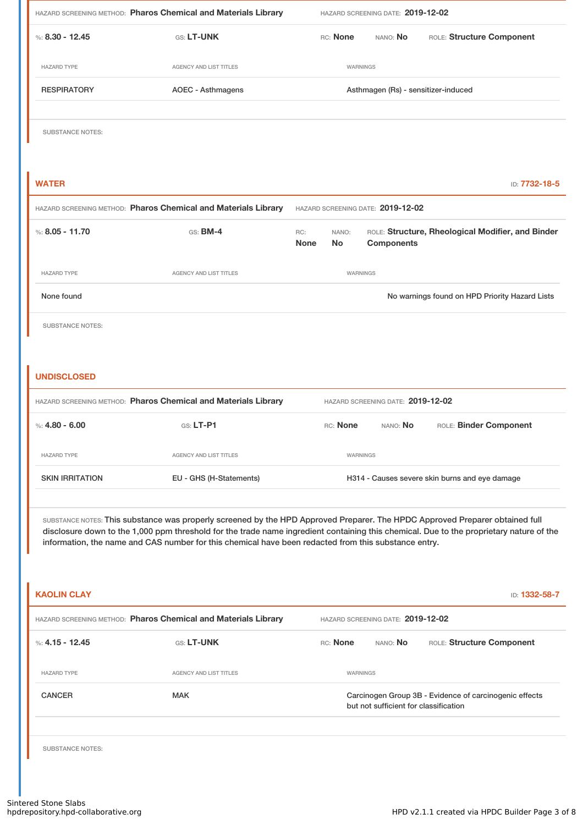| %: $8.30 - 12.45$<br>GS: LT-UNK<br>RC: None<br>NANO: No<br><b>HAZARD TYPE</b><br><b>AGENCY AND LIST TITLES</b><br>WARNINGS<br><b>RESPIRATORY</b><br><b>AOEC - Asthmagens</b><br>Asthmagen (Rs) - sensitizer-induced<br><b>SUBSTANCE NOTES:</b><br><b>WATER</b><br>HAZARD SCREENING METHOD: Pharos Chemical and Materials Library<br>HAZARD SCREENING DATE: 2019-12-02<br>%: $8.05 - 11.70$<br>GS: <b>BM-4</b><br>ROLE: Structure, Rheological Modifier, and Binder<br>RC:<br>NANO:<br><b>Components</b><br><b>None</b><br>No<br><b>HAZARD TYPE</b><br><b>AGENCY AND LIST TITLES</b><br>WARNINGS<br>None found<br><b>SUBSTANCE NOTES:</b><br><b>UNDISCLOSED</b><br>HAZARD SCREENING METHOD: Pharos Chemical and Materials Library<br>HAZARD SCREENING DATE: 2019-12-02<br>%: $4.80 - 6.00$<br>GS: LT-P1<br>RC: None<br>NANO: No<br><b>HAZARD TYPE</b><br><b>AGENCY AND LIST TITLES</b><br>WARNINGS<br><b>SKIN IRRITATION</b><br>EU - GHS (H-Statements)<br>H314 - Causes severe skin burns and eye damage<br>information, the name and CAS number for this chemical have been redacted from this substance entry.<br><b>KAOLIN CLAY</b><br>HAZARD SCREENING METHOD: Pharos Chemical and Materials Library<br>HAZARD SCREENING DATE: 2019-12-02<br>%: $4.15 - 12.45$<br>GS: LT-UNK<br>RC: None<br>NANO: No<br><b>HAZARD TYPE</b><br><b>AGENCY AND LIST TITLES</b><br>WARNINGS<br><b>CANCER</b><br><b>MAK</b><br>Carcinogen Group 3B - Evidence of carcinogenic effects<br>but not sufficient for classification | HAZARD SCREENING DATE: 2019-12-02                                                                                                                                                                                                                                       |  |  |  |  |  | HAZARD SCREENING METHOD: Pharos Chemical and Materials Library |  |
|---------------------------------------------------------------------------------------------------------------------------------------------------------------------------------------------------------------------------------------------------------------------------------------------------------------------------------------------------------------------------------------------------------------------------------------------------------------------------------------------------------------------------------------------------------------------------------------------------------------------------------------------------------------------------------------------------------------------------------------------------------------------------------------------------------------------------------------------------------------------------------------------------------------------------------------------------------------------------------------------------------------------------------------------------------------------------------------------------------------------------------------------------------------------------------------------------------------------------------------------------------------------------------------------------------------------------------------------------------------------------------------------------------------------------------------------------------------------------------------------------------------|-------------------------------------------------------------------------------------------------------------------------------------------------------------------------------------------------------------------------------------------------------------------------|--|--|--|--|--|----------------------------------------------------------------|--|
|                                                                                                                                                                                                                                                                                                                                                                                                                                                                                                                                                                                                                                                                                                                                                                                                                                                                                                                                                                                                                                                                                                                                                                                                                                                                                                                                                                                                                                                                                                               | ROLE: Structure Component                                                                                                                                                                                                                                               |  |  |  |  |  |                                                                |  |
|                                                                                                                                                                                                                                                                                                                                                                                                                                                                                                                                                                                                                                                                                                                                                                                                                                                                                                                                                                                                                                                                                                                                                                                                                                                                                                                                                                                                                                                                                                               |                                                                                                                                                                                                                                                                         |  |  |  |  |  |                                                                |  |
|                                                                                                                                                                                                                                                                                                                                                                                                                                                                                                                                                                                                                                                                                                                                                                                                                                                                                                                                                                                                                                                                                                                                                                                                                                                                                                                                                                                                                                                                                                               |                                                                                                                                                                                                                                                                         |  |  |  |  |  |                                                                |  |
|                                                                                                                                                                                                                                                                                                                                                                                                                                                                                                                                                                                                                                                                                                                                                                                                                                                                                                                                                                                                                                                                                                                                                                                                                                                                                                                                                                                                                                                                                                               |                                                                                                                                                                                                                                                                         |  |  |  |  |  |                                                                |  |
|                                                                                                                                                                                                                                                                                                                                                                                                                                                                                                                                                                                                                                                                                                                                                                                                                                                                                                                                                                                                                                                                                                                                                                                                                                                                                                                                                                                                                                                                                                               | ID: 7732-18-5                                                                                                                                                                                                                                                           |  |  |  |  |  |                                                                |  |
|                                                                                                                                                                                                                                                                                                                                                                                                                                                                                                                                                                                                                                                                                                                                                                                                                                                                                                                                                                                                                                                                                                                                                                                                                                                                                                                                                                                                                                                                                                               |                                                                                                                                                                                                                                                                         |  |  |  |  |  |                                                                |  |
|                                                                                                                                                                                                                                                                                                                                                                                                                                                                                                                                                                                                                                                                                                                                                                                                                                                                                                                                                                                                                                                                                                                                                                                                                                                                                                                                                                                                                                                                                                               |                                                                                                                                                                                                                                                                         |  |  |  |  |  |                                                                |  |
|                                                                                                                                                                                                                                                                                                                                                                                                                                                                                                                                                                                                                                                                                                                                                                                                                                                                                                                                                                                                                                                                                                                                                                                                                                                                                                                                                                                                                                                                                                               |                                                                                                                                                                                                                                                                         |  |  |  |  |  |                                                                |  |
|                                                                                                                                                                                                                                                                                                                                                                                                                                                                                                                                                                                                                                                                                                                                                                                                                                                                                                                                                                                                                                                                                                                                                                                                                                                                                                                                                                                                                                                                                                               | No warnings found on HPD Priority Hazard Lists                                                                                                                                                                                                                          |  |  |  |  |  |                                                                |  |
|                                                                                                                                                                                                                                                                                                                                                                                                                                                                                                                                                                                                                                                                                                                                                                                                                                                                                                                                                                                                                                                                                                                                                                                                                                                                                                                                                                                                                                                                                                               |                                                                                                                                                                                                                                                                         |  |  |  |  |  |                                                                |  |
|                                                                                                                                                                                                                                                                                                                                                                                                                                                                                                                                                                                                                                                                                                                                                                                                                                                                                                                                                                                                                                                                                                                                                                                                                                                                                                                                                                                                                                                                                                               | ROLE: Binder Component                                                                                                                                                                                                                                                  |  |  |  |  |  |                                                                |  |
|                                                                                                                                                                                                                                                                                                                                                                                                                                                                                                                                                                                                                                                                                                                                                                                                                                                                                                                                                                                                                                                                                                                                                                                                                                                                                                                                                                                                                                                                                                               |                                                                                                                                                                                                                                                                         |  |  |  |  |  |                                                                |  |
|                                                                                                                                                                                                                                                                                                                                                                                                                                                                                                                                                                                                                                                                                                                                                                                                                                                                                                                                                                                                                                                                                                                                                                                                                                                                                                                                                                                                                                                                                                               |                                                                                                                                                                                                                                                                         |  |  |  |  |  |                                                                |  |
|                                                                                                                                                                                                                                                                                                                                                                                                                                                                                                                                                                                                                                                                                                                                                                                                                                                                                                                                                                                                                                                                                                                                                                                                                                                                                                                                                                                                                                                                                                               | SUBSTANCE NOTES: This substance was properly screened by the HPD Approved Preparer. The HPDC Approved Preparer obtained full<br>disclosure down to the 1,000 ppm threshold for the trade name ingredient containing this chemical. Due to the proprietary nature of the |  |  |  |  |  |                                                                |  |
|                                                                                                                                                                                                                                                                                                                                                                                                                                                                                                                                                                                                                                                                                                                                                                                                                                                                                                                                                                                                                                                                                                                                                                                                                                                                                                                                                                                                                                                                                                               | ID: 1332-58-7                                                                                                                                                                                                                                                           |  |  |  |  |  |                                                                |  |
|                                                                                                                                                                                                                                                                                                                                                                                                                                                                                                                                                                                                                                                                                                                                                                                                                                                                                                                                                                                                                                                                                                                                                                                                                                                                                                                                                                                                                                                                                                               |                                                                                                                                                                                                                                                                         |  |  |  |  |  |                                                                |  |
|                                                                                                                                                                                                                                                                                                                                                                                                                                                                                                                                                                                                                                                                                                                                                                                                                                                                                                                                                                                                                                                                                                                                                                                                                                                                                                                                                                                                                                                                                                               | ROLE: Structure Component                                                                                                                                                                                                                                               |  |  |  |  |  |                                                                |  |
|                                                                                                                                                                                                                                                                                                                                                                                                                                                                                                                                                                                                                                                                                                                                                                                                                                                                                                                                                                                                                                                                                                                                                                                                                                                                                                                                                                                                                                                                                                               |                                                                                                                                                                                                                                                                         |  |  |  |  |  |                                                                |  |
|                                                                                                                                                                                                                                                                                                                                                                                                                                                                                                                                                                                                                                                                                                                                                                                                                                                                                                                                                                                                                                                                                                                                                                                                                                                                                                                                                                                                                                                                                                               |                                                                                                                                                                                                                                                                         |  |  |  |  |  |                                                                |  |
| <b>SUBSTANCE NOTES:</b>                                                                                                                                                                                                                                                                                                                                                                                                                                                                                                                                                                                                                                                                                                                                                                                                                                                                                                                                                                                                                                                                                                                                                                                                                                                                                                                                                                                                                                                                                       |                                                                                                                                                                                                                                                                         |  |  |  |  |  |                                                                |  |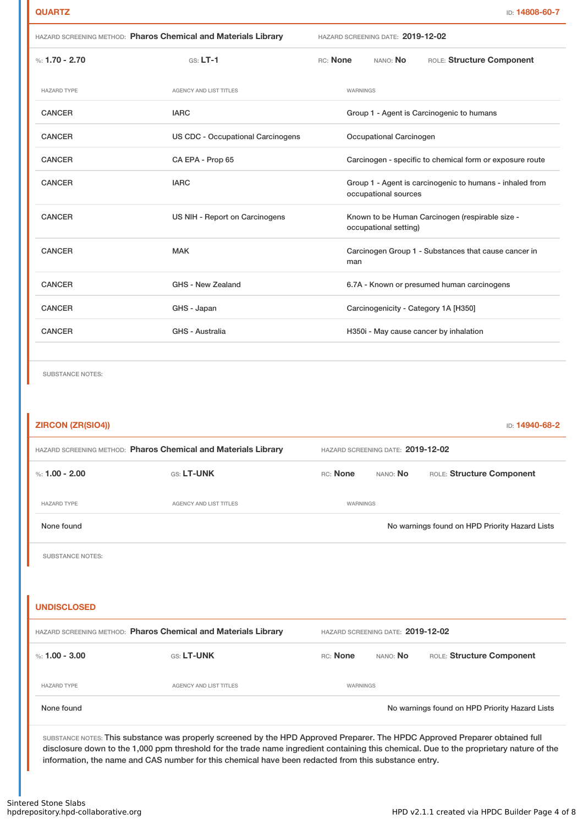|                    | HAZARD SCREENING METHOD: Pharos Chemical and Materials Library |                                                                                  | HAZARD SCREENING DATE: 2019-12-02 |                                            |  |  |
|--------------------|----------------------------------------------------------------|----------------------------------------------------------------------------------|-----------------------------------|--------------------------------------------|--|--|
| %: $1.70 - 2.70$   | $GS: LT-1$                                                     | RC: None                                                                         | NANO: <b>No</b>                   | ROLE: Structure Component                  |  |  |
| <b>HAZARD TYPE</b> | <b>AGENCY AND LIST TITLES</b>                                  |                                                                                  | WARNINGS                          |                                            |  |  |
| <b>CANCER</b>      | <b>IARC</b>                                                    |                                                                                  |                                   | Group 1 - Agent is Carcinogenic to humans  |  |  |
| <b>CANCER</b>      | <b>US CDC - Occupational Carcinogens</b>                       |                                                                                  | Occupational Carcinogen           |                                            |  |  |
| <b>CANCER</b>      | CA EPA - Prop 65                                               | Carcinogen - specific to chemical form or exposure route                         |                                   |                                            |  |  |
| <b>CANCER</b>      | <b>IARC</b>                                                    | Group 1 - Agent is carcinogenic to humans - inhaled from<br>occupational sources |                                   |                                            |  |  |
| <b>CANCER</b>      | US NIH - Report on Carcinogens                                 | Known to be Human Carcinogen (respirable size -<br>occupational setting)         |                                   |                                            |  |  |
| <b>CANCER</b>      | <b>MAK</b>                                                     | Carcinogen Group 1 - Substances that cause cancer in<br>man                      |                                   |                                            |  |  |
| <b>CANCER</b>      | GHS - New Zealand                                              |                                                                                  |                                   | 6.7A - Known or presumed human carcinogens |  |  |
| <b>CANCER</b>      | GHS - Japan                                                    |                                                                                  |                                   | Carcinogenicity - Category 1A [H350]       |  |  |
| <b>CANCER</b>      | <b>GHS - Australia</b>                                         | H350i - May cause cancer by inhalation                                           |                                   |                                            |  |  |
|                    |                                                                |                                                                                  |                                   |                                            |  |  |

SUBSTANCE NOTES:

| <b>ZIRCON (ZR(SIO4))</b> |                                                                                                                                                                                                                                                                         |                                   |                                       | ID: 14940-68-2                                 |  |  |  |  |
|--------------------------|-------------------------------------------------------------------------------------------------------------------------------------------------------------------------------------------------------------------------------------------------------------------------|-----------------------------------|---------------------------------------|------------------------------------------------|--|--|--|--|
|                          | HAZARD SCREENING METHOD: Pharos Chemical and Materials Library                                                                                                                                                                                                          | HAZARD SCREENING DATE: 2019-12-02 |                                       |                                                |  |  |  |  |
| %: $1.00 - 2.00$         | GS: LT-UNK                                                                                                                                                                                                                                                              | RC: None                          | ROLE: Structure Component<br>NANO: No |                                                |  |  |  |  |
| <b>HAZARD TYPE</b>       | <b>AGENCY AND LIST TITLES</b>                                                                                                                                                                                                                                           | WARNINGS                          |                                       |                                                |  |  |  |  |
| None found               |                                                                                                                                                                                                                                                                         |                                   |                                       | No warnings found on HPD Priority Hazard Lists |  |  |  |  |
| <b>SUBSTANCE NOTES:</b>  |                                                                                                                                                                                                                                                                         |                                   |                                       |                                                |  |  |  |  |
|                          |                                                                                                                                                                                                                                                                         |                                   |                                       |                                                |  |  |  |  |
| <b>UNDISCLOSED</b>       |                                                                                                                                                                                                                                                                         |                                   |                                       |                                                |  |  |  |  |
|                          | HAZARD SCREENING METHOD: Pharos Chemical and Materials Library                                                                                                                                                                                                          | HAZARD SCREENING DATE: 2019-12-02 |                                       |                                                |  |  |  |  |
| %: $1.00 - 3.00$         | GS: LT-UNK                                                                                                                                                                                                                                                              | RC: None                          | NANO: No                              | ROLE: Structure Component                      |  |  |  |  |
| <b>HAZARD TYPE</b>       | AGENCY AND LIST TITLES                                                                                                                                                                                                                                                  | WARNINGS                          |                                       |                                                |  |  |  |  |
| None found               |                                                                                                                                                                                                                                                                         |                                   |                                       | No warnings found on HPD Priority Hazard Lists |  |  |  |  |
|                          | SUBSTANCE NOTES: This substance was properly screened by the HPD Approved Preparer. The HPDC Approved Preparer obtained full<br>disclosure down to the 1,000 ppm threshold for the trade name ingredient containing this chemical. Due to the proprietary nature of the |                                   |                                       |                                                |  |  |  |  |

information, the name and CAS number for this chemical have been redacted from this substance entry.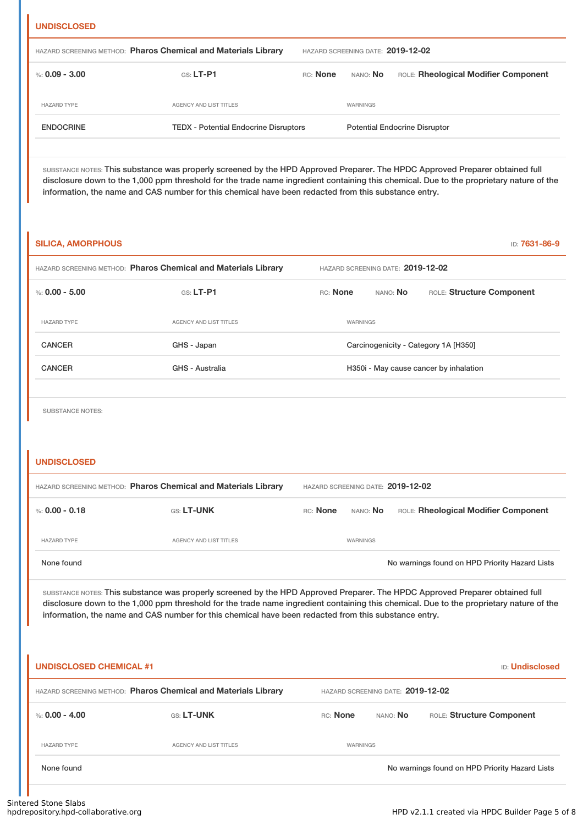| <b>UNDISCLOSE</b> |  |
|-------------------|--|
|                   |  |

| %: $0.09 - 3.00$<br>$GS: LT- P1$<br>RC: None<br>nano: <b>No</b><br>AGENCY AND LIST TITLES<br><b>HAZARD TYPE</b><br>WARNINGS<br><b>Potential Endocrine Disruptor</b> |                  | HAZARD SCREENING METHOD: Pharos Chemical and Materials Library | HAZARD SCREENING DATE: 2019-12-02 |                                      |  |  |
|---------------------------------------------------------------------------------------------------------------------------------------------------------------------|------------------|----------------------------------------------------------------|-----------------------------------|--------------------------------------|--|--|
|                                                                                                                                                                     |                  |                                                                |                                   | ROLE: Rheological Modifier Component |  |  |
|                                                                                                                                                                     |                  |                                                                |                                   |                                      |  |  |
|                                                                                                                                                                     | <b>ENDOCRINE</b> | <b>TEDX - Potential Endocrine Disruptors</b>                   |                                   |                                      |  |  |

SUBSTANCE NOTES: This substance was properly screened by the HPD Approved Preparer. The HPDC Approved Preparer obtained full disclosure down to the 1,000 ppm threshold for the trade name ingredient containing this chemical. Due to the proprietary nature of the information, the name and CAS number for this chemical have been redacted from this substance entry.

| <b>SILICA, AMORPHOUS</b> |                                                                                                     |                                        |                 | <b>ID: 7631-86-9</b>                 |  |  |
|--------------------------|-----------------------------------------------------------------------------------------------------|----------------------------------------|-----------------|--------------------------------------|--|--|
|                          | HAZARD SCREENING METHOD: Pharos Chemical and Materials Library<br>HAZARD SCREENING DATE: 2019-12-02 |                                        |                 |                                      |  |  |
| %: $0.00 - 5.00$         | $GS: LT-P1$                                                                                         | RC: None                               | NANO: <b>No</b> | ROLE: Structure Component            |  |  |
| <b>HAZARD TYPE</b>       | <b>AGENCY AND LIST TITLES</b>                                                                       | WARNINGS                               |                 |                                      |  |  |
| <b>CANCER</b>            | GHS - Japan                                                                                         |                                        |                 | Carcinogenicity - Category 1A [H350] |  |  |
| <b>CANCER</b>            | GHS - Australia                                                                                     | H350i - May cause cancer by inhalation |                 |                                      |  |  |
|                          |                                                                                                     |                                        |                 |                                      |  |  |

SUBSTANCE NOTES:

## **UNDISCLOSED**

| HAZARD SCREENING METHOD: Pharos Chemical and Materials Library |                        |          | HAZARD SCREENING DATE: 2019-12-02 |                                                |  |  |  |
|----------------------------------------------------------------|------------------------|----------|-----------------------------------|------------------------------------------------|--|--|--|
| %: 0.00 - 0.18                                                 | <b>GS: LT-UNK</b>      | RC: None | nano: <b>No</b>                   | ROLE: Rheological Modifier Component           |  |  |  |
| <b>HAZARD TYPE</b>                                             | AGENCY AND LIST TITLES |          | WARNINGS                          |                                                |  |  |  |
| None found                                                     |                        |          |                                   | No warnings found on HPD Priority Hazard Lists |  |  |  |

SUBSTANCE NOTES: This substance was properly screened by the HPD Approved Preparer. The HPDC Approved Preparer obtained full disclosure down to the 1,000 ppm threshold for the trade name ingredient containing this chemical. Due to the proprietary nature of the information, the name and CAS number for this chemical have been redacted from this substance entry.

| <b>UNDISCLOSED CHEMICAL #1</b><br><b>ID:</b> Undisclosed       |                                   |                 |          |                                                |  |
|----------------------------------------------------------------|-----------------------------------|-----------------|----------|------------------------------------------------|--|
| HAZARD SCREENING METHOD: Pharos Chemical and Materials Library | HAZARD SCREENING DATE: 2019-12-02 |                 |          |                                                |  |
| %: 0.00 - 4.00                                                 | <b>GS: LT-UNK</b>                 | <b>RC:</b> None | NANO: No | ROLE: Structure Component                      |  |
| <b>HAZARD TYPE</b>                                             | <b>AGENCY AND LIST TITLES</b>     | WARNINGS        |          |                                                |  |
| None found                                                     |                                   |                 |          | No warnings found on HPD Priority Hazard Lists |  |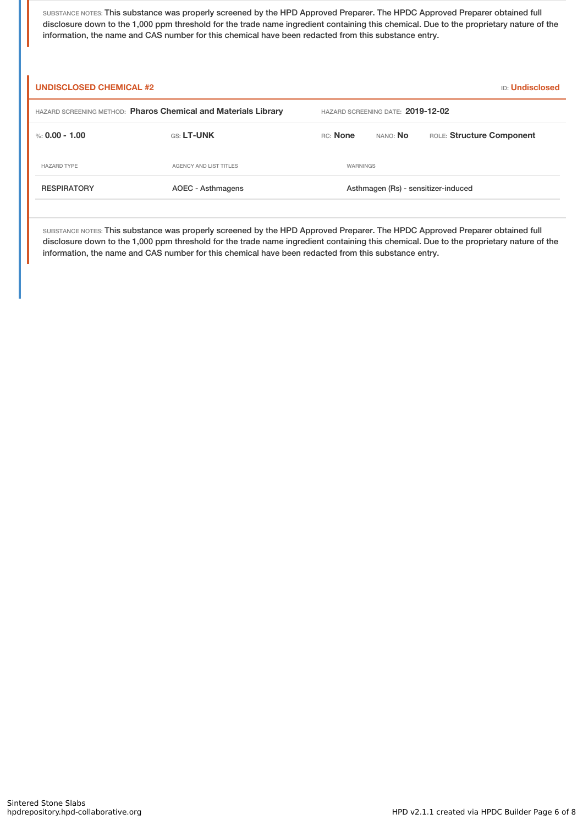SUBSTANCE NOTES: This substance was properly screened by the HPD Approved Preparer. The HPDC Approved Preparer obtained full disclosure down to the 1,000 ppm threshold for the trade name ingredient containing this chemical. Due to the proprietary nature of the information, the name and CAS number for this chemical have been redacted from this substance entry.

| <b>UNDISCLOSED CHEMICAL #2</b><br><b>ID:</b> Undisclosed       |                                   |                                     |          |                           |  |
|----------------------------------------------------------------|-----------------------------------|-------------------------------------|----------|---------------------------|--|
| HAZARD SCREENING METHOD: Pharos Chemical and Materials Library | HAZARD SCREENING DATE: 2019-12-02 |                                     |          |                           |  |
| %: 0.00 - 1.00                                                 | <b>GS: LT-UNK</b>                 | <b>RC:</b> None                     | NANO: No | ROLE: Structure Component |  |
| <b>HAZARD TYPE</b>                                             | AGENCY AND LIST TITLES            | WARNINGS                            |          |                           |  |
| <b>RESPIRATORY</b>                                             | AOEC - Asthmagens                 | Asthmagen (Rs) - sensitizer-induced |          |                           |  |

SUBSTANCE NOTES: This substance was properly screened by the HPD Approved Preparer. The HPDC Approved Preparer obtained full disclosure down to the 1,000 ppm threshold for the trade name ingredient containing this chemical. Due to the proprietary nature of the information, the name and CAS number for this chemical have been redacted from this substance entry.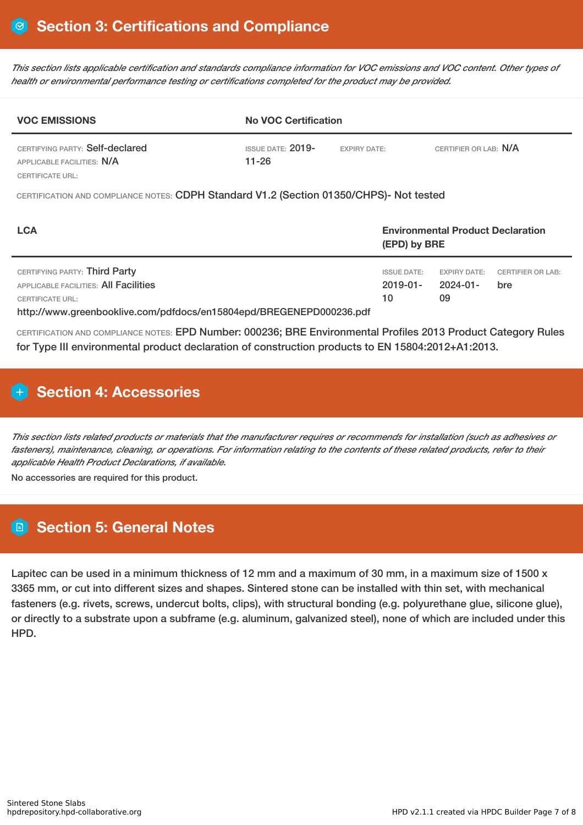This section lists applicable certification and standards compliance information for VOC emissions and VOC content. Other types of *health or environmental performance testing or certifications completed for the product may be provided.*

| <b>VOC EMISSIONS</b>                                          | <b>No VOC Certification</b>  |                     |                       |  |  |  |
|---------------------------------------------------------------|------------------------------|---------------------|-----------------------|--|--|--|
| CERTIFYING PARTY: Self-declared<br>APPLICABLE FACILITIES: N/A | ISSUE DATE: $2019-$<br>11-26 | <b>EXPIRY DATE:</b> | CERTIFIER OR LAB: N/A |  |  |  |
| CERTIFICATE URL:                                              |                              |                     |                       |  |  |  |

CERTIFICATION AND COMPLIANCE NOTES: CDPH Standard V1.2 (Section 01350/CHPS)- Not tested

| <b>LCA</b>                                                                                     |                                     | <b>Environmental Product Declaration</b><br>(EPD) by BRE |                                 |  |  |
|------------------------------------------------------------------------------------------------|-------------------------------------|----------------------------------------------------------|---------------------------------|--|--|
| CERTIFYING PARTY: Third Party<br>APPLICABLE FACILITIES: All Facilities                         | <b>ISSUE DATE:</b><br>$2019 - 01 -$ | <b>EXPIRY DATE:</b><br>2024-01-                          | <b>CERTIFIER OR LAB:</b><br>bre |  |  |
| <b>CERTIFICATE URL:</b><br>http://www.greenbooklive.com/pdfdocs/en15804epd/BREGENEPD000236.pdf | 10                                  | 09                                                       |                                 |  |  |

CERTIFICATION AND COMPLIANCE NOTES: EPD Number: 000236; BRE Environmental Profiles 2013 Product Category Rules for Type III environmental product declaration of construction products to EN 15804:2012+A1:2013.

# **H** Section 4: Accessories

This section lists related products or materials that the manufacturer requires or recommends for installation (such as adhesives or fasteners), maintenance, cleaning, or operations. For information relating to the contents of these related products, refer to their *applicable Health Product Declarations, if available.*

No accessories are required for this product.

# **Section 5: General Notes**

Lapitec can be used in a minimum thickness of 12 mm and a maximum of 30 mm, in a maximum size of 1500 x 3365 mm, or cut into different sizes and shapes. Sintered stone can be installed with thin set, with mechanical fasteners (e.g. rivets, screws, undercut bolts, clips), with structural bonding (e.g. polyurethane glue, silicone glue), or directly to a substrate upon a subframe (e.g. aluminum, galvanized steel), none of which are included under this HPD.